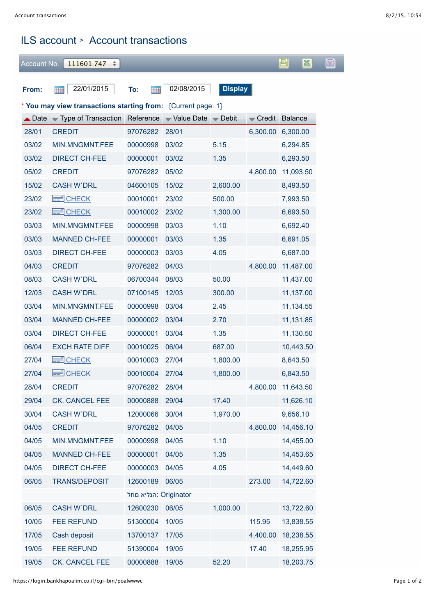## ILS account > Account transactions

| Account No.                                                                              | 111601747<br>÷                                   |          |                            |          |                              | 画<br>闔    | 圓 |  |  |  |  |  |  |
|------------------------------------------------------------------------------------------|--------------------------------------------------|----------|----------------------------|----------|------------------------------|-----------|---|--|--|--|--|--|--|
|                                                                                          |                                                  |          |                            |          |                              |           |   |  |  |  |  |  |  |
| <b>Display</b><br>22/01/2015<br>02/08/2015<br><b>Hall</b><br><b>Hall</b><br>From:<br>To: |                                                  |          |                            |          |                              |           |   |  |  |  |  |  |  |
| * You may view transactions starting from: [Current page: 1]                             |                                                  |          |                            |          |                              |           |   |  |  |  |  |  |  |
|                                                                                          | $\triangle$ Date $\triangle$ Type of Transaction |          | Reference Value Date Debit |          | $\blacktriangleright$ Credit | Balance   |   |  |  |  |  |  |  |
| 28/01                                                                                    | <b>CREDIT</b>                                    | 97076282 | 28/01                      |          | 6,300.00                     | 6,300.00  |   |  |  |  |  |  |  |
| 03/02                                                                                    | MIN.MNGMNT.FEE                                   | 00000998 | 03/02                      | 5.15     |                              | 6,294.85  |   |  |  |  |  |  |  |
| 03/02                                                                                    | <b>DIRECT CH-FEE</b>                             | 00000001 | 03/02                      | 1.35     |                              | 6,293.50  |   |  |  |  |  |  |  |
| 05/02                                                                                    | <b>CREDIT</b>                                    | 97076282 | 05/02                      |          | 4,800.00                     | 11,093.50 |   |  |  |  |  |  |  |
| 15/02                                                                                    | <b>CASH W`DRL</b>                                | 04600105 | 15/02                      | 2,600.00 |                              | 8,493.50  |   |  |  |  |  |  |  |
| 23/02                                                                                    | $=$ CHECK                                        | 00010001 | 23/02                      | 500.00   |                              | 7,993.50  |   |  |  |  |  |  |  |
| 23/02                                                                                    | $\equiv$ CHECK                                   | 00010002 | 23/02                      | 1,300.00 |                              | 6,693.50  |   |  |  |  |  |  |  |
| 03/03                                                                                    | MIN.MNGMNT.FEE                                   | 00000998 | 03/03                      | 1.10     |                              | 6,692.40  |   |  |  |  |  |  |  |
| 03/03                                                                                    | <b>MANNED CH-FEE</b>                             | 00000001 | 03/03                      | 1.35     |                              | 6,691.05  |   |  |  |  |  |  |  |
| 03/03                                                                                    | <b>DIRECT CH-FEE</b>                             | 00000003 | 03/03                      | 4.05     |                              | 6,687.00  |   |  |  |  |  |  |  |
| 04/03                                                                                    | <b>CREDIT</b>                                    | 97076282 | 04/03                      |          | 4,800.00                     | 11,487.00 |   |  |  |  |  |  |  |
| 08/03                                                                                    | <b>CASH W'DRL</b>                                | 06700344 | 08/03                      | 50.00    |                              | 11,437.00 |   |  |  |  |  |  |  |
| 12/03                                                                                    | <b>CASH W'DRL</b>                                | 07100145 | 12/03                      | 300.00   |                              | 11,137.00 |   |  |  |  |  |  |  |
| 03/04                                                                                    | MIN.MNGMNT.FEE                                   | 00000998 | 03/04                      | 2.45     |                              | 11,134.55 |   |  |  |  |  |  |  |
| 03/04                                                                                    | <b>MANNED CH-FEE</b>                             | 00000002 | 03/04                      | 2.70     |                              | 11,131.85 |   |  |  |  |  |  |  |
| 03/04                                                                                    | <b>DIRECT CH-FEE</b>                             | 00000001 | 03/04                      | 1.35     |                              | 11,130.50 |   |  |  |  |  |  |  |
| 06/04                                                                                    | <b>EXCH RATE DIFF</b>                            | 00010025 | 06/04                      | 687.00   |                              | 10,443.50 |   |  |  |  |  |  |  |
| 27/04                                                                                    | <b>CHECK</b><br>E                                | 00010003 | 27/04                      | 1,800.00 |                              | 8,643.50  |   |  |  |  |  |  |  |
| 27/04                                                                                    | $\equiv$ CHECK                                   | 00010004 | 27/04                      | 1,800.00 |                              | 6,843.50  |   |  |  |  |  |  |  |
| 28/04                                                                                    | <b>CREDIT</b>                                    | 97076282 | 28/04                      |          | 4,800.00                     | 11,643.50 |   |  |  |  |  |  |  |
| 29/04                                                                                    | CK. CANCEL FEE                                   | 00000888 | 29/04                      | 17.40    |                              | 11,626.10 |   |  |  |  |  |  |  |
| 30/04                                                                                    | <b>CASH W'DRL</b>                                | 12000066 | 30/04                      | 1,970.00 |                              | 9,656.10  |   |  |  |  |  |  |  |
| 04/05                                                                                    | <b>CREDIT</b>                                    | 97076282 | 04/05                      |          | 4,800.00                     | 14,456.10 |   |  |  |  |  |  |  |
| 04/05                                                                                    | MIN.MNGMNT.FEE                                   | 00000998 | 04/05                      | 1.10     |                              | 14,455.00 |   |  |  |  |  |  |  |
| 04/05                                                                                    | <b>MANNED CH-FEE</b>                             | 00000001 | 04/05                      | 1.35     |                              | 14,453.65 |   |  |  |  |  |  |  |
| 04/05                                                                                    | <b>DIRECT CH-FEE</b>                             | 00000003 | 04/05                      | 4.05     |                              | 14,449.60 |   |  |  |  |  |  |  |
| 06/05                                                                                    | <b>TRANS/DEPOSIT</b>                             | 12600189 | 06/05                      |          | 273.00                       | 14,722.60 |   |  |  |  |  |  |  |
| הנליא םחל: Originator                                                                    |                                                  |          |                            |          |                              |           |   |  |  |  |  |  |  |
| 06/05                                                                                    | <b>CASH W`DRL</b>                                | 12600230 | 06/05                      | 1,000.00 |                              | 13,722.60 |   |  |  |  |  |  |  |
| 10/05                                                                                    | <b>FEE REFUND</b>                                | 51300004 | 10/05                      |          | 115.95                       | 13,838.55 |   |  |  |  |  |  |  |
| 17/05                                                                                    | Cash deposit                                     | 13700137 | 17/05                      |          | 4,400.00                     | 18,238.55 |   |  |  |  |  |  |  |
| 19/05                                                                                    | <b>FEE REFUND</b>                                | 51390004 | 19/05                      |          | 17.40                        | 18,255.95 |   |  |  |  |  |  |  |
| 19/05                                                                                    | CK. CANCEL FEE                                   | 00000888 | 19/05                      | 52.20    |                              | 18,203.75 |   |  |  |  |  |  |  |